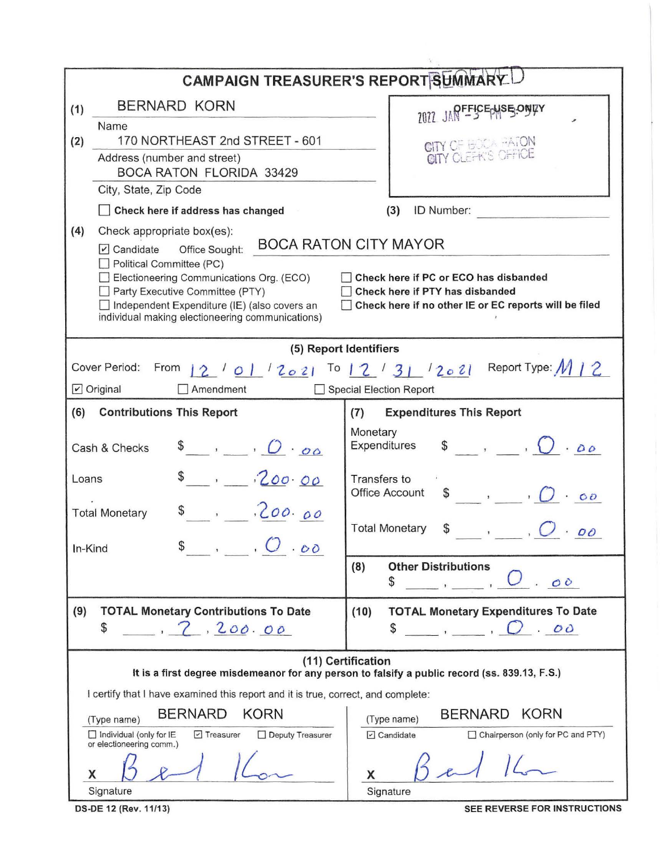| CAMPAIGN TREASURER'S REPORT SUMMARY                                                                                                                                                                                                                                                                                                                                                             |                                                                                                 |  |  |  |  |  |  |
|-------------------------------------------------------------------------------------------------------------------------------------------------------------------------------------------------------------------------------------------------------------------------------------------------------------------------------------------------------------------------------------------------|-------------------------------------------------------------------------------------------------|--|--|--|--|--|--|
| BERNARD KORN<br>(1)                                                                                                                                                                                                                                                                                                                                                                             | 2022 JAPFFICEPHS 5.0NUY                                                                         |  |  |  |  |  |  |
| Name<br>170 NORTHEAST 2nd STREET - 601<br>(2)                                                                                                                                                                                                                                                                                                                                                   |                                                                                                 |  |  |  |  |  |  |
| Address (number and street)                                                                                                                                                                                                                                                                                                                                                                     | CITY OF BOOK PATON<br>CITY CLEFK'S OFFICE                                                       |  |  |  |  |  |  |
| <b>BOCA RATON FLORIDA 33429</b>                                                                                                                                                                                                                                                                                                                                                                 |                                                                                                 |  |  |  |  |  |  |
| City, State, Zip Code                                                                                                                                                                                                                                                                                                                                                                           |                                                                                                 |  |  |  |  |  |  |
| Check here if address has changed                                                                                                                                                                                                                                                                                                                                                               | ID Number:<br>(3)                                                                               |  |  |  |  |  |  |
| (4)<br>Check appropriate box(es):                                                                                                                                                                                                                                                                                                                                                               | <b>BOCA RATON CITY MAYOR</b>                                                                    |  |  |  |  |  |  |
| $\triangledown$ Candidate<br>Office Sought:<br>Political Committee (PC)<br>Electioneering Communications Org. (ECO)<br>Check here if PC or ECO has disbanded<br>Party Executive Committee (PTY)<br>Check here if PTY has disbanded<br>Independent Expenditure (IE) (also covers an<br>Check here if no other IE or EC reports will be filed<br>individual making electioneering communications) |                                                                                                 |  |  |  |  |  |  |
|                                                                                                                                                                                                                                                                                                                                                                                                 | (5) Report Identifiers                                                                          |  |  |  |  |  |  |
| Report Type: M   2<br>Cover Period: From<br>To $12/31/2021$<br>1210112021                                                                                                                                                                                                                                                                                                                       |                                                                                                 |  |  |  |  |  |  |
| $\triangleright$ Original<br>Amendment<br><b>Special Election Report</b>                                                                                                                                                                                                                                                                                                                        |                                                                                                 |  |  |  |  |  |  |
| (6)<br><b>Contributions This Report</b>                                                                                                                                                                                                                                                                                                                                                         | <b>Expenditures This Report</b><br>(7)                                                          |  |  |  |  |  |  |
| $\bullet$ , $O \cdot \sigma \circ$<br>Cash & Checks                                                                                                                                                                                                                                                                                                                                             | Monetary<br>$\int$ , $\int$ , $\partial \rho$<br>Expenditures                                   |  |  |  |  |  |  |
| $-200.00$<br>Loans                                                                                                                                                                                                                                                                                                                                                                              | Transfers to<br>Office Account<br>$\frac{1}{2}$ , $\frac{1}{2}$ , $\frac{1}{2}$ , $\frac{1}{2}$ |  |  |  |  |  |  |
| \$3, 200.00<br><b>Total Monetary</b>                                                                                                                                                                                                                                                                                                                                                            | <b>Total Monetary</b><br>\$<br>$\cdot$ 00                                                       |  |  |  |  |  |  |
| $\mathsf{s}$ , $\mathsf{C}$ $\circ$<br>In-Kind                                                                                                                                                                                                                                                                                                                                                  |                                                                                                 |  |  |  |  |  |  |
|                                                                                                                                                                                                                                                                                                                                                                                                 | <b>Other Distributions</b><br>(8)<br>\$<br>OO                                                   |  |  |  |  |  |  |
| (9)<br><b>TOTAL Monetary Contributions To Date</b>                                                                                                                                                                                                                                                                                                                                              | (10)<br><b>TOTAL Monetary Expenditures To Date</b>                                              |  |  |  |  |  |  |
| \$<br>2.200.00                                                                                                                                                                                                                                                                                                                                                                                  | \$<br>2.00<br>$\mathbf{I}$ and $\mathbf{I}$                                                     |  |  |  |  |  |  |
| (11) Certification<br>It is a first degree misdemeanor for any person to falsify a public record (ss. 839.13, F.S.)                                                                                                                                                                                                                                                                             |                                                                                                 |  |  |  |  |  |  |
| I certify that I have examined this report and it is true, correct, and complete:                                                                                                                                                                                                                                                                                                               |                                                                                                 |  |  |  |  |  |  |
| <b>BERNARD</b><br>KORN<br>(Type name)                                                                                                                                                                                                                                                                                                                                                           | <b>BERNARD</b><br><b>KORN</b><br>(Type name)                                                    |  |  |  |  |  |  |
| $\Box$ Individual (only for IE<br>$\triangleright$ Treasurer<br>Deputy Treasurer<br>or electioneering comm.)                                                                                                                                                                                                                                                                                    | Chairperson (only for PC and PTY)<br>$\Box$ Candidate                                           |  |  |  |  |  |  |
|                                                                                                                                                                                                                                                                                                                                                                                                 |                                                                                                 |  |  |  |  |  |  |
| Signature                                                                                                                                                                                                                                                                                                                                                                                       | Signature                                                                                       |  |  |  |  |  |  |

DS-DE 12 (Rev. 11/13)

SEE REVERSE FOR INSTRUCTIONS